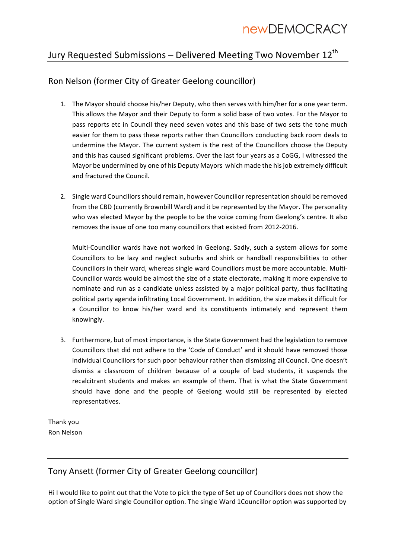### Jury Requested Submissions - Delivered Meeting Two November 12<sup>th</sup>

### Ron Nelson (former City of Greater Geelong councillor)

- 1. The Mayor should choose his/her Deputy, who then serves with him/her for a one year term. This allows the Mayor and their Deputy to form a solid base of two votes. For the Mayor to pass reports etc in Council they need seven votes and this base of two sets the tone much easier for them to pass these reports rather than Councillors conducting back room deals to undermine the Mayor. The current system is the rest of the Councillors choose the Deputy and this has caused significant problems. Over the last four years as a CoGG, I witnessed the Mayor be undermined by one of his Deputy Mayors which made the his job extremely difficult and fractured the Council.
- 2. Single ward Councillors should remain, however Councillor representation should be removed from the CBD (currently Brownbill Ward) and it be represented by the Mayor. The personality who was elected Mayor by the people to be the voice coming from Geelong's centre. It also removes the issue of one too many councillors that existed from 2012-2016.

Multi-Councillor wards have not worked in Geelong. Sadly, such a system allows for some Councillors to be lazy and neglect suburbs and shirk or handball responsibilities to other Councillors in their ward, whereas single ward Councillors must be more accountable. Multi-Councillor wards would be almost the size of a state electorate, making it more expensive to nominate and run as a candidate unless assisted by a major political party, thus facilitating political party agenda infiltrating Local Government. In addition, the size makes it difficult for a Councillor to know his/her ward and its constituents intimately and represent them knowingly.

3. Furthermore, but of most importance, is the State Government had the legislation to remove Councillors that did not adhere to the 'Code of Conduct' and it should have removed those individual Councillors for such poor behaviour rather than dismissing all Council. One doesn't dismiss a classroom of children because of a couple of bad students, it suspends the recalcitrant students and makes an example of them. That is what the State Government should have done and the people of Geelong would still be represented by elected representatives.

Thank you Ron Nelson

### Tony Ansett (former City of Greater Geelong councillor)

Hi I would like to point out that the Vote to pick the type of Set up of Councillors does not show the option of Single Ward single Councillor option. The single Ward 1Councillor option was supported by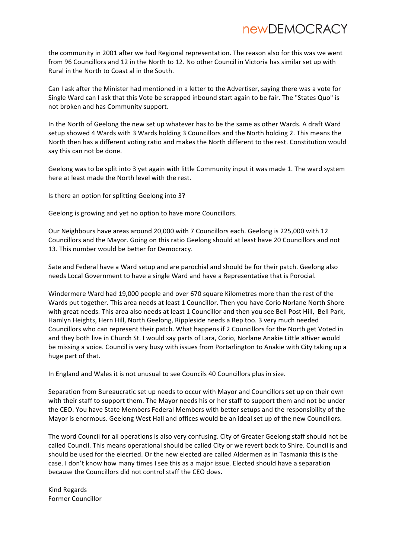the community in 2001 after we had Regional representation. The reason also for this was we went from 96 Councillors and 12 in the North to 12. No other Council in Victoria has similar set up with Rural in the North to Coast al in the South.

Can I ask after the Minister had mentioned in a letter to the Advertiser, saying there was a vote for Single Ward can I ask that this Vote be scrapped inbound start again to be fair. The "States Quo" is not broken and has Community support.

In the North of Geelong the new set up whatever has to be the same as other Wards. A draft Ward setup showed 4 Wards with 3 Wards holding 3 Councillors and the North holding 2. This means the North then has a different voting ratio and makes the North different to the rest. Constitution would say this can not be done.

Geelong was to be split into 3 yet again with little Community input it was made 1. The ward system here at least made the North level with the rest.

Is there an option for splitting Geelong into 3?

Geelong is growing and yet no option to have more Councillors.

Our Neighbours have areas around 20,000 with 7 Councillors each. Geelong is 225,000 with 12 Councillors and the Mayor. Going on this ratio Geelong should at least have 20 Councillors and not 13. This number would be better for Democracy.

Sate and Federal have a Ward setup and are parochial and should be for their patch. Geelong also needs Local Government to have a single Ward and have a Representative that is Porocial.

Windermere Ward had 19,000 people and over 670 square Kilometres more than the rest of the Wards put together. This area needs at least 1 Councillor. Then you have Corio Norlane North Shore with great needs. This area also needs at least 1 Councillor and then you see Bell Post Hill, Bell Park, Hamlyn Heights, Hern Hill, North Geelong, Rippleside needs a Rep too. 3 very much needed Councillors who can represent their patch. What happens if 2 Councillors for the North get Voted in and they both live in Church St. I would say parts of Lara, Corio, Norlane Anakie Little aRiver would be missing a voice. Council is very busy with issues from Portarlington to Anakie with City taking up a huge part of that.

In England and Wales it is not unusual to see Councils 40 Councillors plus in size.

Separation from Bureaucratic set up needs to occur with Mayor and Councillors set up on their own with their staff to support them. The Mayor needs his or her staff to support them and not be under the CEO. You have State Members Federal Members with better setups and the responsibility of the Mayor is enormous. Geelong West Hall and offices would be an ideal set up of the new Councillors.

The word Council for all operations is also very confusing. City of Greater Geelong staff should not be called Council. This means operational should be called City or we revert back to Shire. Council is and should be used for the elecrted. Or the new elected are called Aldermen as in Tasmania this is the case. I don't know how many times I see this as a major issue. Elected should have a separation because the Councillors did not control staff the CEO does.

Kind Regards Former Councillor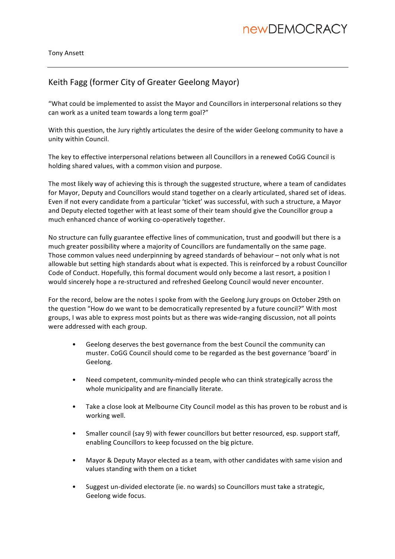### Keith Fagg (former City of Greater Geelong Mayor)

"What could be implemented to assist the Mayor and Councillors in interpersonal relations so they can work as a united team towards a long term goal?"

With this question, the Jury rightly articulates the desire of the wider Geelong community to have a unity within Council. 

The key to effective interpersonal relations between all Councillors in a renewed CoGG Council is holding shared values, with a common vision and purpose.

The most likely way of achieving this is through the suggested structure, where a team of candidates for Mayor, Deputy and Councillors would stand together on a clearly articulated, shared set of ideas. Even if not every candidate from a particular 'ticket' was successful, with such a structure, a Mayor and Deputy elected together with at least some of their team should give the Councillor group a much enhanced chance of working co-operatively together.

No structure can fully guarantee effective lines of communication, trust and goodwill but there is a much greater possibility where a majority of Councillors are fundamentally on the same page. Those common values need underpinning by agreed standards of behaviour – not only what is not allowable but setting high standards about what is expected. This is reinforced by a robust Councillor Code of Conduct. Hopefully, this formal document would only become a last resort, a position I would sincerely hope a re-structured and refreshed Geelong Council would never encounter.

For the record, below are the notes I spoke from with the Geelong Jury groups on October 29th on the question "How do we want to be democratically represented by a future council?" With most groups, I was able to express most points but as there was wide-ranging discussion, not all points were addressed with each group.

- Geelong deserves the best governance from the best Council the community can muster. CoGG Council should come to be regarded as the best governance 'board' in Geelong.
- Need competent, community-minded people who can think strategically across the whole municipality and are financially literate.
- Take a close look at Melbourne City Council model as this has proven to be robust and is working well.
- Smaller council (say 9) with fewer councillors but better resourced, esp. support staff, enabling Councillors to keep focussed on the big picture.
- Mayor & Deputy Mayor elected as a team, with other candidates with same vision and values standing with them on a ticket
- Suggest un-divided electorate (ie. no wards) so Councillors must take a strategic, Geelong wide focus.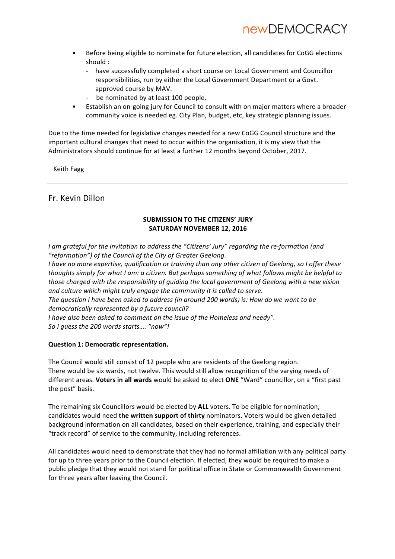- Before being eligible to nominate for future election, all candidates for CoGG elections should :
	- have successfully completed a short course on Local Government and Councillor responsibilities, run by either the Local Government Department or a Govt. approved course by MAV.
	- be nominated by at least 100 people.
- Establish an on-going jury for Council to consult with on major matters where a broader community voice is needed eg. City Plan, budget, etc, key strategic planning issues.

Due to the time needed for legislative changes needed for a new CoGG Council structure and the important cultural changes that need to occur within the organisation, it is my view that the Administrators should continue for at least a further 12 months beyond October, 2017.

 Keith Fagg

### Fr. Kevin Dillon

#### **SUBMISSION TO THE CITIZENS' JURY** SATURDAY NOVEMBER 12, 2016

*I* am grateful for the invitation to address the "Citizens' Jury" regarding the re-formation (and "reformation") of the Council of the City of Greater Geelong.

*I* have no more expertise, qualification or training than any other citizen of Geelong, so I offer these *thoughts simply for what I am: a citizen. But perhaps something of what follows might be helpful to those charged with the responsibility of quiding the local government of Geelong with a new vision* and culture which might truly engage the community it is called to serve.

*The question I have been asked to address (in around 200 words) is: How do we want to be* democratically represented by a future council? *I* have also been asked to comment on the issue of the Homeless and needy".

*So I guess the 200 words starts…. "now"!*

#### **Question 1: Democratic representation.**

The Council would still consist of 12 people who are residents of the Geelong region. There would be six wards, not twelve. This would still allow recognition of the varying needs of different areas. Voters in all wards would be asked to elect ONE "Ward" councillor, on a "first past the post" basis.

The remaining six Councillors would be elected by ALL voters. To be eligible for nomination, candidates would need **the written support of thirty** nominators. Voters would be given detailed background information on all candidates, based on their experience, training, and especially their "track record" of service to the community, including references.

All candidates would need to demonstrate that they had no formal affiliation with any political party for up to three years prior to the Council election. If elected, they would be required to make a public pledge that they would not stand for political office in State or Commonwealth Government for three years after leaving the Council.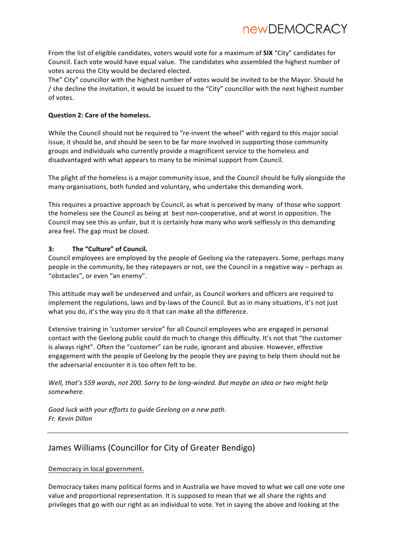From the list of eligible candidates, voters would vote for a maximum of SIX "City" candidates for Council. Each vote would have equal value. The candidates who assembled the highest number of votes across the City would be declared elected.

The" City" councillor with the highest number of votes would be invited to be the Mayor. Should he / she decline the invitation, it would be issued to the "City" councillor with the next highest number of votes.

### **Question 2: Care of the homeless.**

While the Council should not be required to "re-invent the wheel" with regard to this major social issue, it should be, and should be seen to be far more involved in supporting those community groups and individuals who currently provide a magnificent service to the homeless and disadvantaged with what appears to many to be minimal support from Council.

The plight of the homeless is a major community issue, and the Council should be fully alongside the many organisations, both funded and voluntary, who undertake this demanding work.

This requires a proactive approach by Council, as what is perceived by many of those who support the homeless see the Council as being at best non-cooperative, and at worst in opposition. The Council may see this as unfair, but it is certainly how many who work selflessly in this demanding area feel. The gap must be closed.

### 3: The "Culture" of Council.

Council employees are employed by the people of Geelong via the ratepayers. Some, perhaps many people in the community, be they ratepayers or not, see the Council in a negative way – perhaps as "obstacles", or even "an enemy".

This attitude may well be undeserved and unfair, as Council workers and officers are required to implement the regulations, laws and by-laws of the Council. But as in many situations, it's not just what you do, it's the way you do it that can make all the difference.

Extensive training in 'customer service" for all Council employees who are engaged in personal contact with the Geelong public could do much to change this difficulty. It's not that "the customer is always right". Often the "customer" can be rude, ignorant and abusive. However, effective engagement with the people of Geelong by the people they are paying to help them should not be the adversarial encounter it is too often felt to be.

*Well, that's* 559 words, not 200. Sorry to be long-winded. But maybe an idea or two might help *somewhere.*

Good luck with your efforts to guide Geelong on a new path. *Fr. Kevin Dillon* 

### James Williams (Councillor for City of Greater Bendigo)

### Democracy in local government.

Democracy takes many political forms and in Australia we have moved to what we call one vote one value and proportional representation. It is supposed to mean that we all share the rights and privileges that go with our right as an individual to vote. Yet in saying the above and looking at the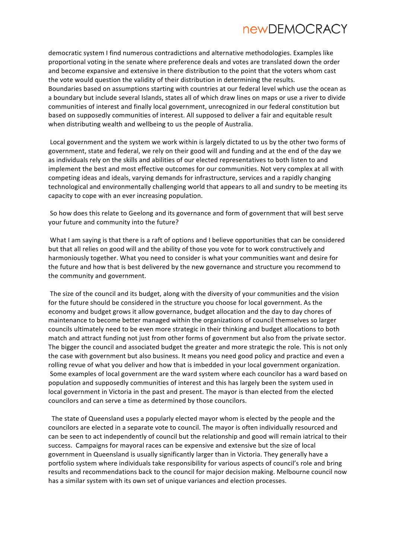democratic system I find numerous contradictions and alternative methodologies. Examples like proportional voting in the senate where preference deals and votes are translated down the order and become expansive and extensive in there distribution to the point that the voters whom cast the vote would question the validity of their distribution in determining the results. Boundaries based on assumptions starting with countries at our federal level which use the ocean as a boundary but include several Islands, states all of which draw lines on maps or use a river to divide communities of interest and finally local government, unrecognized in our federal constitution but based on supposedly communities of interest. All supposed to deliver a fair and equitable result when distributing wealth and wellbeing to us the people of Australia.

Local government and the system we work within is largely dictated to us by the other two forms of government, state and federal, we rely on their good will and funding and at the end of the day we as individuals rely on the skills and abilities of our elected representatives to both listen to and implement the best and most effective outcomes for our communities. Not very complex at all with competing ideas and ideals, varying demands for infrastructure, services and a rapidly changing technological and environmentally challenging world that appears to all and sundry to be meeting its capacity to cope with an ever increasing population.

So how does this relate to Geelong and its governance and form of government that will best serve your future and community into the future?

What I am saying is that there is a raft of options and I believe opportunities that can be considered but that all relies on good will and the ability of those you vote for to work constructively and harmoniously together. What you need to consider is what your communities want and desire for the future and how that is best delivered by the new governance and structure you recommend to the community and government.

The size of the council and its budget, along with the diversity of your communities and the vision for the future should be considered in the structure you choose for local government. As the economy and budget grows it allow governance, budget allocation and the day to day chores of maintenance to become better managed within the organizations of council themselves so larger councils ultimately need to be even more strategic in their thinking and budget allocations to both match and attract funding not just from other forms of government but also from the private sector. The bigger the council and associated budget the greater and more strategic the role. This is not only the case with government but also business. It means you need good policy and practice and even a rolling revue of what you deliver and how that is imbedded in your local government organization. Some examples of local government are the ward system where each councilor has a ward based on population and supposedly communities of interest and this has largely been the system used in local government in Victoria in the past and present. The mayor is than elected from the elected councilors and can serve a time as determined by those councilors.

The state of Queensland uses a popularly elected mayor whom is elected by the people and the councilors are elected in a separate vote to council. The mayor is often individually resourced and can be seen to act independently of council but the relationship and good will remain iatrical to their success. Campaigns for mayoral races can be expensive and extensive but the size of local government in Queensland is usually significantly larger than in Victoria. They generally have a portfolio system where individuals take responsibility for various aspects of council's role and bring results and recommendations back to the council for major decision making. Melbourne council now has a similar system with its own set of unique variances and election processes.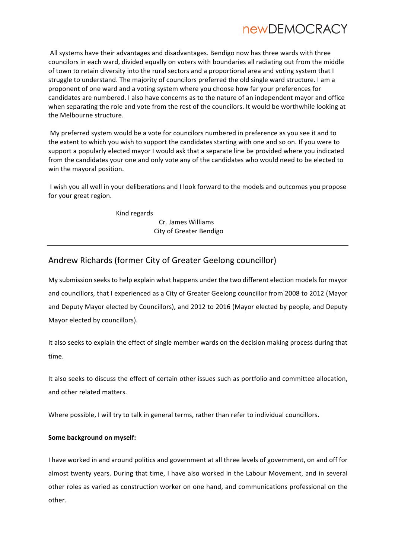All systems have their advantages and disadvantages. Bendigo now has three wards with three councilors in each ward, divided equally on voters with boundaries all radiating out from the middle of town to retain diversity into the rural sectors and a proportional area and voting system that I struggle to understand. The majority of councilors preferred the old single ward structure. I am a proponent of one ward and a voting system where you choose how far your preferences for candidates are numbered. I also have concerns as to the nature of an independent mayor and office when separating the role and vote from the rest of the councilors. It would be worthwhile looking at the Melbourne structure.

My preferred system would be a vote for councilors numbered in preference as you see it and to the extent to which you wish to support the candidates starting with one and so on. If you were to support a popularly elected mayor I would ask that a separate line be provided where you indicated from the candidates your one and only vote any of the candidates who would need to be elected to win the mayoral position.

I wish you all well in your deliberations and I look forward to the models and outcomes you propose for your great region.

Kind regards

 Cr. James Williams City of Greater Bendigo

### Andrew Richards (former City of Greater Geelong councillor)

My submission seeks to help explain what happens under the two different election models for mayor and councillors, that I experienced as a City of Greater Geelong councillor from 2008 to 2012 (Mayor and Deputy Mayor elected by Councillors), and 2012 to 2016 (Mayor elected by people, and Deputy Mayor elected by councillors).

It also seeks to explain the effect of single member wards on the decision making process during that time. 

It also seeks to discuss the effect of certain other issues such as portfolio and committee allocation, and other related matters.

Where possible, I will try to talk in general terms, rather than refer to individual councillors.

### **Some background on myself:**

I have worked in and around politics and government at all three levels of government, on and off for almost twenty years. During that time, I have also worked in the Labour Movement, and in several other roles as varied as construction worker on one hand, and communications professional on the other.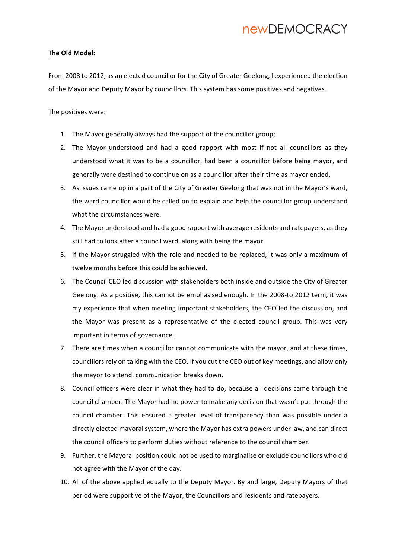#### **The Old Model:**

From 2008 to 2012, as an elected councillor for the City of Greater Geelong, I experienced the election of the Mayor and Deputy Mayor by councillors. This system has some positives and negatives.

The positives were:

- 1. The Mayor generally always had the support of the councillor group;
- 2. The Mayor understood and had a good rapport with most if not all councillors as they understood what it was to be a councillor, had been a councillor before being mayor, and generally were destined to continue on as a councillor after their time as mayor ended.
- 3. As issues came up in a part of the City of Greater Geelong that was not in the Mayor's ward, the ward councillor would be called on to explain and help the councillor group understand what the circumstances were.
- 4. The Mayor understood and had a good rapport with average residents and ratepayers, as they still had to look after a council ward, along with being the mayor.
- 5. If the Mayor struggled with the role and needed to be replaced, it was only a maximum of twelve months before this could be achieved.
- 6. The Council CEO led discussion with stakeholders both inside and outside the City of Greater Geelong. As a positive, this cannot be emphasised enough. In the 2008-to 2012 term, it was my experience that when meeting important stakeholders, the CEO led the discussion, and the Mayor was present as a representative of the elected council group. This was very important in terms of governance.
- 7. There are times when a councillor cannot communicate with the mayor, and at these times, councillors rely on talking with the CEO. If you cut the CEO out of key meetings, and allow only the mayor to attend, communication breaks down.
- 8. Council officers were clear in what they had to do, because all decisions came through the council chamber. The Mayor had no power to make any decision that wasn't put through the council chamber. This ensured a greater level of transparency than was possible under a directly elected mayoral system, where the Mayor has extra powers under law, and can direct the council officers to perform duties without reference to the council chamber.
- 9. Further, the Mayoral position could not be used to marginalise or exclude councillors who did not agree with the Mayor of the day.
- 10. All of the above applied equally to the Deputy Mayor. By and large, Deputy Mayors of that period were supportive of the Mayor, the Councillors and residents and ratepayers.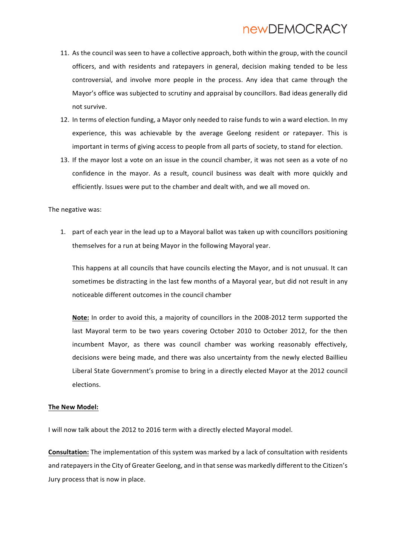- 11. As the council was seen to have a collective approach, both within the group, with the council officers, and with residents and ratepayers in general, decision making tended to be less controversial, and involve more people in the process. Any idea that came through the Mayor's office was subjected to scrutiny and appraisal by councillors. Bad ideas generally did not survive.
- 12. In terms of election funding, a Mayor only needed to raise funds to win a ward election. In my experience, this was achievable by the average Geelong resident or ratepayer. This is important in terms of giving access to people from all parts of society, to stand for election.
- 13. If the mayor lost a vote on an issue in the council chamber, it was not seen as a vote of no confidence in the mayor. As a result, council business was dealt with more quickly and efficiently. Issues were put to the chamber and dealt with, and we all moved on.

The negative was:

1. part of each year in the lead up to a Mayoral ballot was taken up with councillors positioning themselves for a run at being Mayor in the following Mayoral year.

This happens at all councils that have councils electing the Mayor, and is not unusual. It can sometimes be distracting in the last few months of a Mayoral year, but did not result in any noticeable different outcomes in the council chamber

Note: In order to avoid this, a majority of councillors in the 2008-2012 term supported the last Mayoral term to be two years covering October 2010 to October 2012, for the then incumbent Mayor, as there was council chamber was working reasonably effectively, decisions were being made, and there was also uncertainty from the newly elected Baillieu Liberal State Government's promise to bring in a directly elected Mayor at the 2012 council elections. 

#### **The New Model:**

I will now talk about the 2012 to 2016 term with a directly elected Mayoral model.

**Consultation:** The implementation of this system was marked by a lack of consultation with residents and ratepayers in the City of Greater Geelong, and in that sense was markedly different to the Citizen's Jury process that is now in place.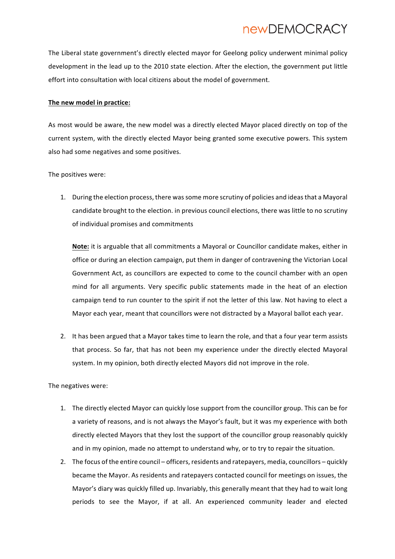The Liberal state government's directly elected mayor for Geelong policy underwent minimal policy development in the lead up to the 2010 state election. After the election, the government put little effort into consultation with local citizens about the model of government.

#### The new model in practice:

As most would be aware, the new model was a directly elected Mayor placed directly on top of the current system, with the directly elected Mayor being granted some executive powers. This system also had some negatives and some positives.

The positives were:

1. During the election process, there was some more scrutiny of policies and ideas that a Mayoral candidate brought to the election. in previous council elections, there was little to no scrutiny of individual promises and commitments

**Note:** it is arguable that all commitments a Mayoral or Councillor candidate makes, either in office or during an election campaign, put them in danger of contravening the Victorian Local Government Act, as councillors are expected to come to the council chamber with an open mind for all arguments. Very specific public statements made in the heat of an election campaign tend to run counter to the spirit if not the letter of this law. Not having to elect a Mayor each year, meant that councillors were not distracted by a Mayoral ballot each year.

2. It has been argued that a Mayor takes time to learn the role, and that a four year term assists that process. So far, that has not been my experience under the directly elected Mayoral system. In my opinion, both directly elected Mayors did not improve in the role.

The negatives were:

- 1. The directly elected Mayor can quickly lose support from the councillor group. This can be for a variety of reasons, and is not always the Mayor's fault, but it was my experience with both directly elected Mayors that they lost the support of the councillor group reasonably quickly and in my opinion, made no attempt to understand why, or to try to repair the situation.
- 2. The focus of the entire council officers, residents and ratepayers, media, councillors quickly became the Mayor. As residents and ratepayers contacted council for meetings on issues, the Mayor's diary was quickly filled up. Invariably, this generally meant that they had to wait long periods to see the Mayor, if at all. An experienced community leader and elected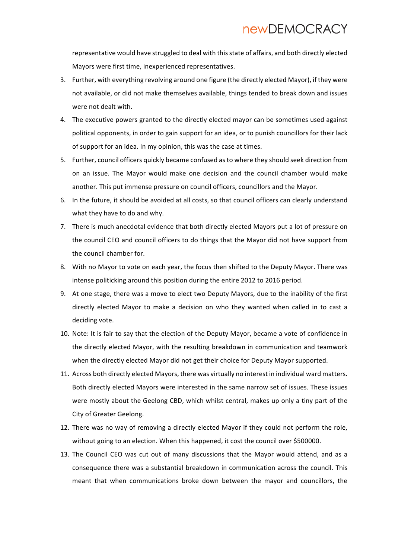representative would have struggled to deal with this state of affairs, and both directly elected Mayors were first time, inexperienced representatives.

- 3. Further, with everything revolving around one figure (the directly elected Mayor), if they were not available, or did not make themselves available, things tended to break down and issues were not dealt with.
- 4. The executive powers granted to the directly elected mayor can be sometimes used against political opponents, in order to gain support for an idea, or to punish councillors for their lack of support for an idea. In my opinion, this was the case at times.
- 5. Further, council officers quickly became confused as to where they should seek direction from on an issue. The Mayor would make one decision and the council chamber would make another. This put immense pressure on council officers, councillors and the Mayor.
- 6. In the future, it should be avoided at all costs, so that council officers can clearly understand what they have to do and why.
- 7. There is much anecdotal evidence that both directly elected Mayors put a lot of pressure on the council CEO and council officers to do things that the Mayor did not have support from the council chamber for.
- 8. With no Mayor to vote on each year, the focus then shifted to the Deputy Mayor. There was intense politicking around this position during the entire 2012 to 2016 period.
- 9. At one stage, there was a move to elect two Deputy Mayors, due to the inability of the first directly elected Mayor to make a decision on who they wanted when called in to cast a deciding vote.
- 10. Note: It is fair to say that the election of the Deputy Mayor, became a vote of confidence in the directly elected Mayor, with the resulting breakdown in communication and teamwork when the directly elected Mayor did not get their choice for Deputy Mayor supported.
- 11. Across both directly elected Mayors, there was virtually no interest in individual ward matters. Both directly elected Mayors were interested in the same narrow set of issues. These issues were mostly about the Geelong CBD, which whilst central, makes up only a tiny part of the City of Greater Geelong.
- 12. There was no way of removing a directly elected Mayor if they could not perform the role, without going to an election. When this happened, it cost the council over \$500000.
- 13. The Council CEO was cut out of many discussions that the Mayor would attend, and as a consequence there was a substantial breakdown in communication across the council. This meant that when communications broke down between the mayor and councillors, the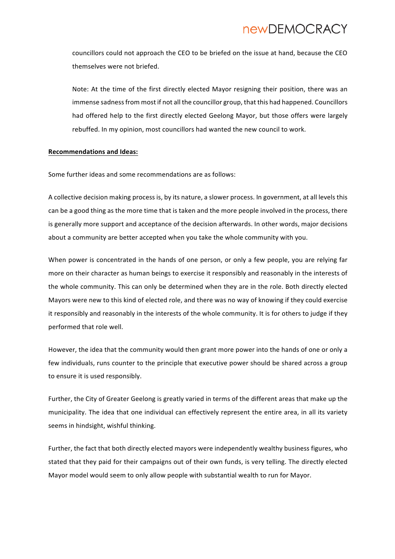councillors could not approach the CEO to be briefed on the issue at hand, because the CEO themselves were not briefed.

Note: At the time of the first directly elected Mayor resigning their position, there was an immense sadness from most if not all the councillor group, that this had happened. Councillors had offered help to the first directly elected Geelong Mayor, but those offers were largely rebuffed. In my opinion, most councillors had wanted the new council to work.

#### **Recommendations and Ideas:**

Some further ideas and some recommendations are as follows:

A collective decision making process is, by its nature, a slower process. In government, at all levels this can be a good thing as the more time that is taken and the more people involved in the process, there is generally more support and acceptance of the decision afterwards. In other words, major decisions about a community are better accepted when you take the whole community with you.

When power is concentrated in the hands of one person, or only a few people, you are relying far more on their character as human beings to exercise it responsibly and reasonably in the interests of the whole community. This can only be determined when they are in the role. Both directly elected Mayors were new to this kind of elected role, and there was no way of knowing if they could exercise it responsibly and reasonably in the interests of the whole community. It is for others to judge if they performed that role well.

However, the idea that the community would then grant more power into the hands of one or only a few individuals, runs counter to the principle that executive power should be shared across a group to ensure it is used responsibly.

Further, the City of Greater Geelong is greatly varied in terms of the different areas that make up the municipality. The idea that one individual can effectively represent the entire area, in all its variety seems in hindsight, wishful thinking.

Further, the fact that both directly elected mayors were independently wealthy business figures, who stated that they paid for their campaigns out of their own funds, is very telling. The directly elected Mayor model would seem to only allow people with substantial wealth to run for Mayor.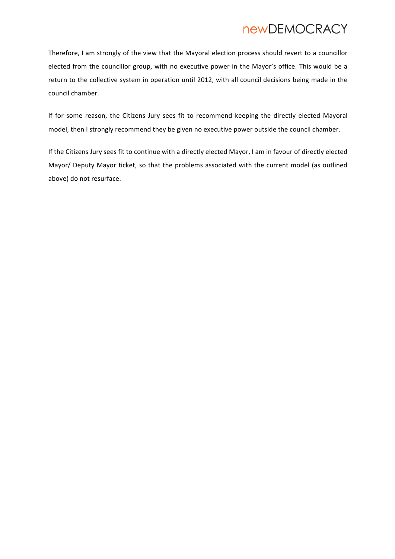Therefore, I am strongly of the view that the Mayoral election process should revert to a councillor elected from the councillor group, with no executive power in the Mayor's office. This would be a return to the collective system in operation until 2012, with all council decisions being made in the council chamber.

If for some reason, the Citizens Jury sees fit to recommend keeping the directly elected Mayoral model, then I strongly recommend they be given no executive power outside the council chamber.

If the Citizens Jury sees fit to continue with a directly elected Mayor, I am in favour of directly elected Mayor/ Deputy Mayor ticket, so that the problems associated with the current model (as outlined above) do not resurface.